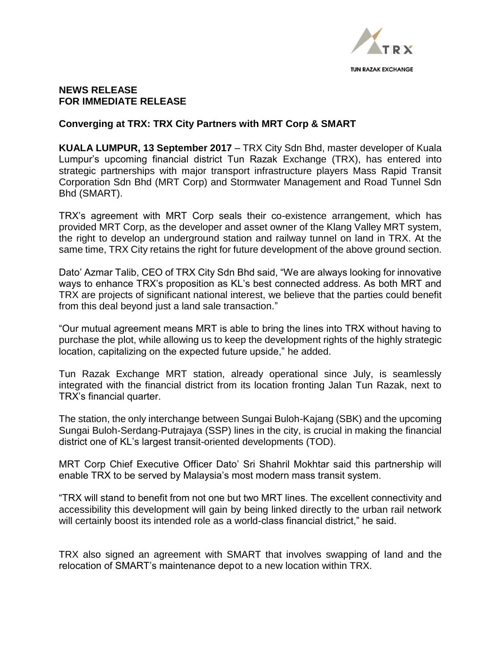

## **NEWS RELEASE FOR IMMEDIATE RELEASE**

## **Converging at TRX: TRX City Partners with MRT Corp & SMART**

**KUALA LUMPUR, 13 September 2017** – TRX City Sdn Bhd, master developer of Kuala Lumpur's upcoming financial district Tun Razak Exchange (TRX), has entered into strategic partnerships with major transport infrastructure players Mass Rapid Transit Corporation Sdn Bhd (MRT Corp) and Stormwater Management and Road Tunnel Sdn Bhd (SMART).

TRX's agreement with MRT Corp seals their co-existence arrangement, which has provided MRT Corp, as the developer and asset owner of the Klang Valley MRT system, the right to develop an underground station and railway tunnel on land in TRX. At the same time, TRX City retains the right for future development of the above ground section.

Dato' Azmar Talib, CEO of TRX City Sdn Bhd said, "We are always looking for innovative ways to enhance TRX's proposition as KL's best connected address. As both MRT and TRX are projects of significant national interest, we believe that the parties could benefit from this deal beyond just a land sale transaction."

"Our mutual agreement means MRT is able to bring the lines into TRX without having to purchase the plot, while allowing us to keep the development rights of the highly strategic location, capitalizing on the expected future upside," he added.

Tun Razak Exchange MRT station, already operational since July, is seamlessly integrated with the financial district from its location fronting Jalan Tun Razak, next to TRX's financial quarter.

The station, the only interchange between Sungai Buloh-Kajang (SBK) and the upcoming Sungai Buloh-Serdang-Putrajaya (SSP) lines in the city, is crucial in making the financial district one of KL's largest transit-oriented developments (TOD).

MRT Corp Chief Executive Officer Dato' Sri Shahril Mokhtar said this partnership will enable TRX to be served by Malaysia's most modern mass transit system.

"TRX will stand to benefit from not one but two MRT lines. The excellent connectivity and accessibility this development will gain by being linked directly to the urban rail network will certainly boost its intended role as a world-class financial district," he said.

TRX also signed an agreement with SMART that involves swapping of land and the relocation of SMART's maintenance depot to a new location within TRX.